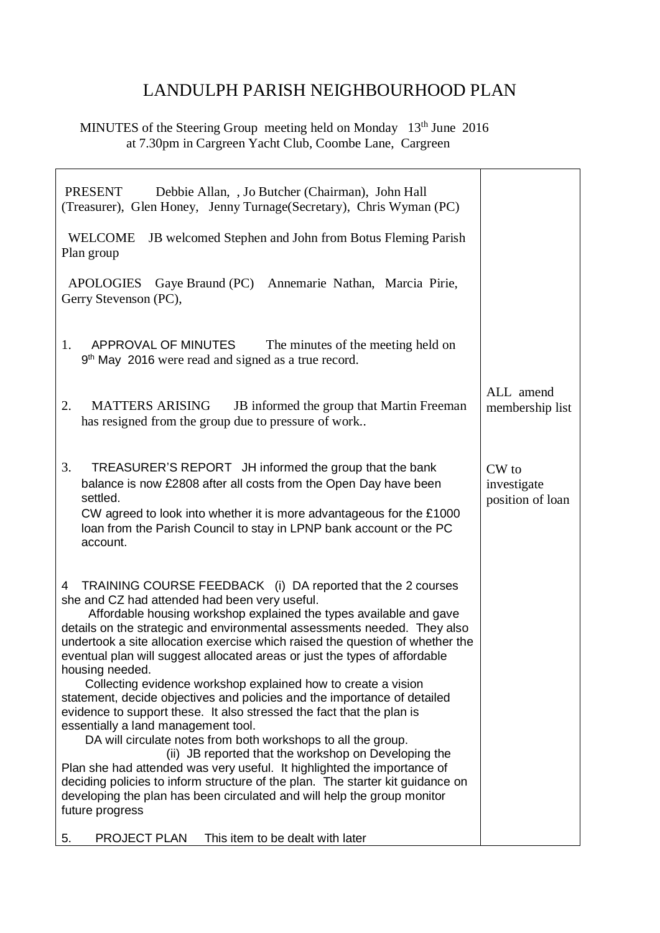## LANDULPH PARISH NEIGHBOURHOOD PLAN

MINUTES of the Steering Group meeting held on Monday 13<sup>th</sup> June 2016 at 7.30pm in Cargreen Yacht Club, Coombe Lane, Cargreen

| <b>PRESENT</b><br>Debbie Allan, , Jo Butcher (Chairman), John Hall<br>(Treasurer), Glen Honey, Jenny Turnage(Secretary), Chris Wyman (PC)                                                                                                                                                                                                                                                                                                                                                                                                                                                                                                                                                                                                                                                                                                                                                                                                                                                                                                                                                              |                                          |
|--------------------------------------------------------------------------------------------------------------------------------------------------------------------------------------------------------------------------------------------------------------------------------------------------------------------------------------------------------------------------------------------------------------------------------------------------------------------------------------------------------------------------------------------------------------------------------------------------------------------------------------------------------------------------------------------------------------------------------------------------------------------------------------------------------------------------------------------------------------------------------------------------------------------------------------------------------------------------------------------------------------------------------------------------------------------------------------------------------|------------------------------------------|
| <b>WELCOME</b><br>JB welcomed Stephen and John from Botus Fleming Parish<br>Plan group                                                                                                                                                                                                                                                                                                                                                                                                                                                                                                                                                                                                                                                                                                                                                                                                                                                                                                                                                                                                                 |                                          |
| <b>APOLOGIES</b><br>Gaye Braund (PC) Annemarie Nathan, Marcia Pirie,<br>Gerry Stevenson (PC),                                                                                                                                                                                                                                                                                                                                                                                                                                                                                                                                                                                                                                                                                                                                                                                                                                                                                                                                                                                                          |                                          |
| 1.<br>APPROVAL OF MINUTES<br>The minutes of the meeting held on<br>9 <sup>th</sup> May 2016 were read and signed as a true record.                                                                                                                                                                                                                                                                                                                                                                                                                                                                                                                                                                                                                                                                                                                                                                                                                                                                                                                                                                     |                                          |
| <b>MATTERS ARISING</b><br>JB informed the group that Martin Freeman<br>2.<br>has resigned from the group due to pressure of work                                                                                                                                                                                                                                                                                                                                                                                                                                                                                                                                                                                                                                                                                                                                                                                                                                                                                                                                                                       | ALL amend<br>membership list             |
| 3.<br>TREASURER'S REPORT JH informed the group that the bank<br>balance is now £2808 after all costs from the Open Day have been<br>settled.<br>CW agreed to look into whether it is more advantageous for the £1000<br>loan from the Parish Council to stay in LPNP bank account or the PC<br>account.                                                                                                                                                                                                                                                                                                                                                                                                                                                                                                                                                                                                                                                                                                                                                                                                | CW to<br>investigate<br>position of loan |
| TRAINING COURSE FEEDBACK (i) DA reported that the 2 courses<br>4<br>she and CZ had attended had been very useful.<br>Affordable housing workshop explained the types available and gave<br>details on the strategic and environmental assessments needed. They also<br>undertook a site allocation exercise which raised the question of whether the<br>eventual plan will suggest allocated areas or just the types of affordable<br>housing needed.<br>Collecting evidence workshop explained how to create a vision<br>statement, decide objectives and policies and the importance of detailed<br>evidence to support these. It also stressed the fact that the plan is<br>essentially a land management tool.<br>DA will circulate notes from both workshops to all the group.<br>(ii) JB reported that the workshop on Developing the<br>Plan she had attended was very useful. It highlighted the importance of<br>deciding policies to inform structure of the plan. The starter kit guidance on<br>developing the plan has been circulated and will help the group monitor<br>future progress |                                          |
| PROJECT PLAN<br>This item to be dealt with later<br>5.                                                                                                                                                                                                                                                                                                                                                                                                                                                                                                                                                                                                                                                                                                                                                                                                                                                                                                                                                                                                                                                 |                                          |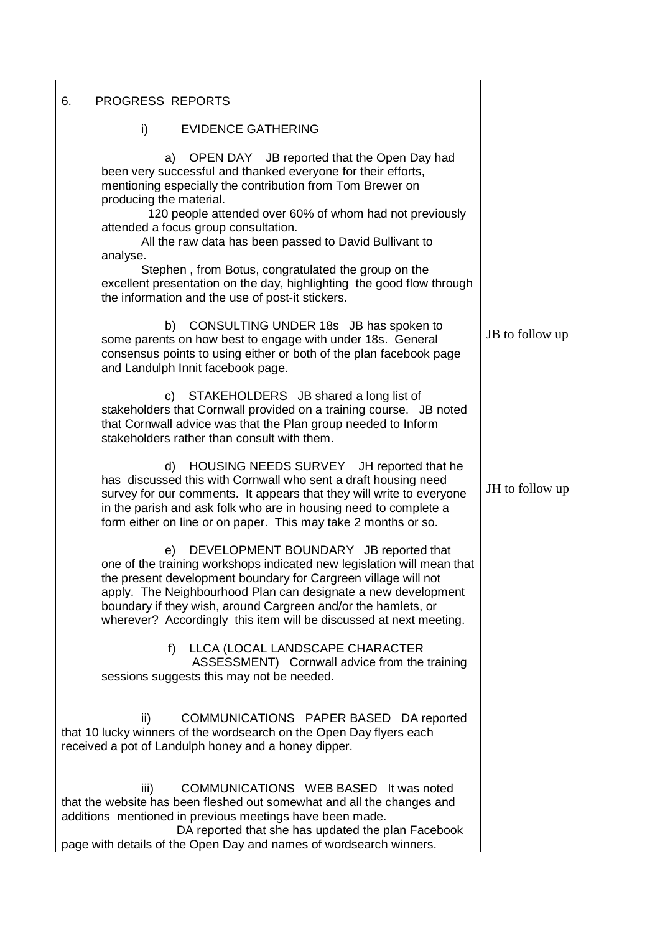| PROGRESS REPORTS<br>6.                                                                                                                                                                                                                                                                                                                                                                          |                 |
|-------------------------------------------------------------------------------------------------------------------------------------------------------------------------------------------------------------------------------------------------------------------------------------------------------------------------------------------------------------------------------------------------|-----------------|
| i)<br><b>EVIDENCE GATHERING</b>                                                                                                                                                                                                                                                                                                                                                                 |                 |
| a) OPEN DAY JB reported that the Open Day had<br>been very successful and thanked everyone for their efforts,<br>mentioning especially the contribution from Tom Brewer on<br>producing the material.<br>120 people attended over 60% of whom had not previously<br>attended a focus group consultation.<br>All the raw data has been passed to David Bullivant to<br>analyse.                  |                 |
| Stephen, from Botus, congratulated the group on the<br>excellent presentation on the day, highlighting the good flow through<br>the information and the use of post-it stickers.                                                                                                                                                                                                                |                 |
| b) CONSULTING UNDER 18s JB has spoken to<br>some parents on how best to engage with under 18s. General<br>consensus points to using either or both of the plan facebook page<br>and Landulph Innit facebook page.                                                                                                                                                                               | JB to follow up |
| c) STAKEHOLDERS JB shared a long list of<br>stakeholders that Cornwall provided on a training course. JB noted<br>that Cornwall advice was that the Plan group needed to Inform<br>stakeholders rather than consult with them.                                                                                                                                                                  |                 |
| d) HOUSING NEEDS SURVEY JH reported that he<br>has discussed this with Cornwall who sent a draft housing need<br>survey for our comments. It appears that they will write to everyone<br>in the parish and ask folk who are in housing need to complete a<br>form either on line or on paper. This may take 2 months or so.                                                                     | JH to follow up |
| DEVELOPMENT BOUNDARY JB reported that<br>e)<br>one of the training workshops indicated new legislation will mean that<br>the present development boundary for Cargreen village will not<br>apply. The Neighbourhood Plan can designate a new development<br>boundary if they wish, around Cargreen and/or the hamlets, or<br>wherever? Accordingly this item will be discussed at next meeting. |                 |
| LLCA (LOCAL LANDSCAPE CHARACTER<br>f<br>ASSESSMENT) Cornwall advice from the training<br>sessions suggests this may not be needed.                                                                                                                                                                                                                                                              |                 |
| ii)<br>COMMUNICATIONS PAPER BASED DA reported<br>that 10 lucky winners of the wordsearch on the Open Day flyers each<br>received a pot of Landulph honey and a honey dipper.                                                                                                                                                                                                                    |                 |
| COMMUNICATIONS WEB BASED It was noted<br>iii)<br>that the website has been fleshed out somewhat and all the changes and<br>additions mentioned in previous meetings have been made.<br>DA reported that she has updated the plan Facebook<br>page with details of the Open Day and names of wordsearch winners.                                                                                 |                 |